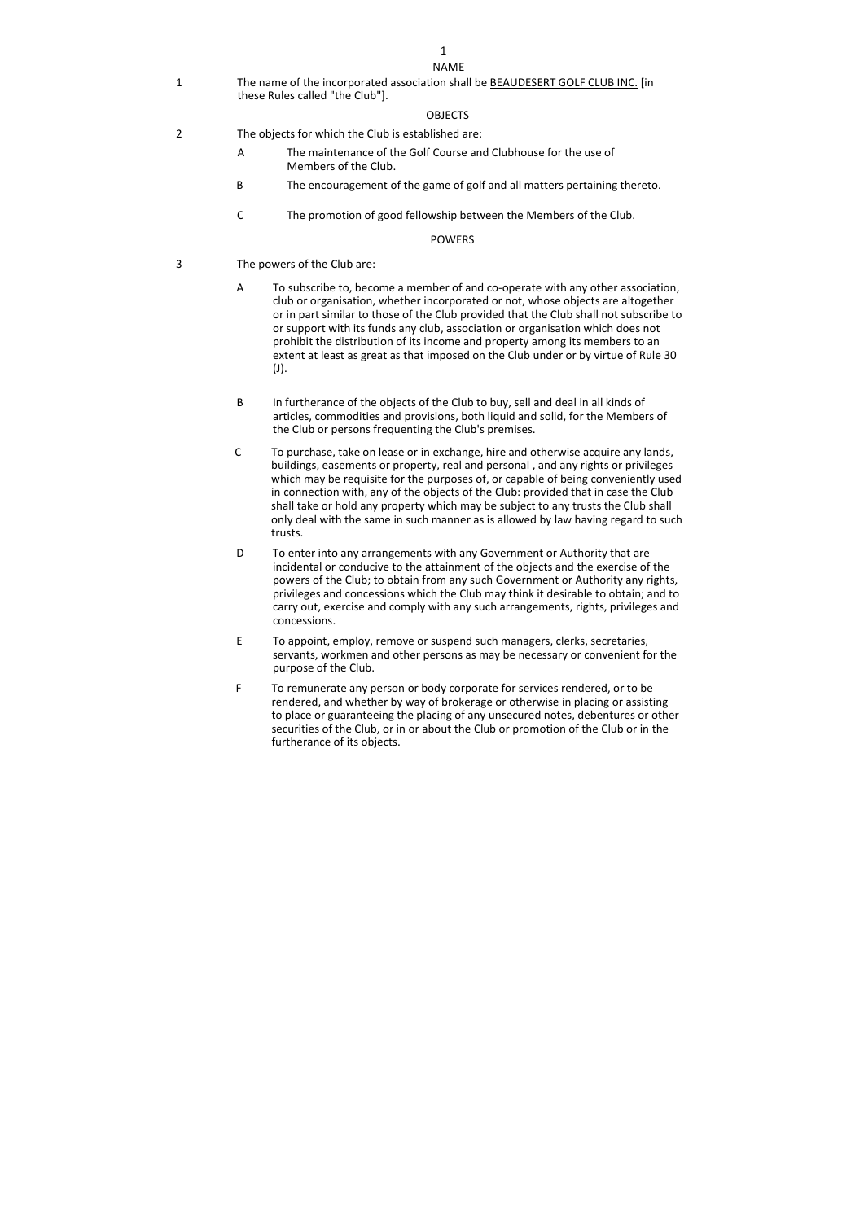1

### NAME

1 The name of the incorporated association shall be BEAUDESERT GOLF CLUB INC. [in these Rules called "the Club"].

# OBJECTS

- 2 The objects for which the Club is established are:
	- A The maintenance of the Golf Course and Clubhouse for the use of Members of the Club.
	- B The encouragement of the game of golf and all matters pertaining thereto.
	- C The promotion of good fellowship between the Members of the Club.

## POWERS

- 3 The powers of the Club are:
	- A To subscribe to, become a member of and co-operate with any other association, club or organisation, whether incorporated or not, whose objects are altogether or in part similar to those of the Club provided that the Club shall not subscribe to or support with its funds any club, association or organisation which does not prohibit the distribution of its income and property among its members to an extent at least as great as that imposed on the Club under or by virtue of Rule 30 (J).
	- B In furtherance of the objects of the Club to buy, sell and deal in all kinds of articles, commodities and provisions, both liquid and solid, for the Members of the Club or persons frequenting the Club's premises.
	- C To purchase, take on lease or in exchange, hire and otherwise acquire any lands, buildings, easements or property, real and personal , and any rights or privileges which may be requisite for the purposes of, or capable of being conveniently used in connection with, any of the objects of the Club: provided that in case the Club shall take or hold any property which may be subject to any trusts the Club shall only deal with the same in such manner as is allowed by law having regard to such trusts.
	- D To enter into any arrangements with any Government or Authority that are incidental or conducive to the attainment of the objects and the exercise of the powers of the Club; to obtain from any such Government or Authority any rights, privileges and concessions which the Club may think it desirable to obtain; and to carry out, exercise and comply with any such arrangements, rights, privileges and concessions.
	- E To appoint, employ, remove or suspend such managers, clerks, secretaries, servants, workmen and other persons as may be necessary or convenient for the purpose of the Club.
	- F To remunerate any person or body corporate for services rendered, or to be rendered, and whether by way of brokerage or otherwise in placing or assisting to place or guaranteeing the placing of any unsecured notes, debentures or other securities of the Club, or in or about the Club or promotion of the Club or in the furtherance of its objects.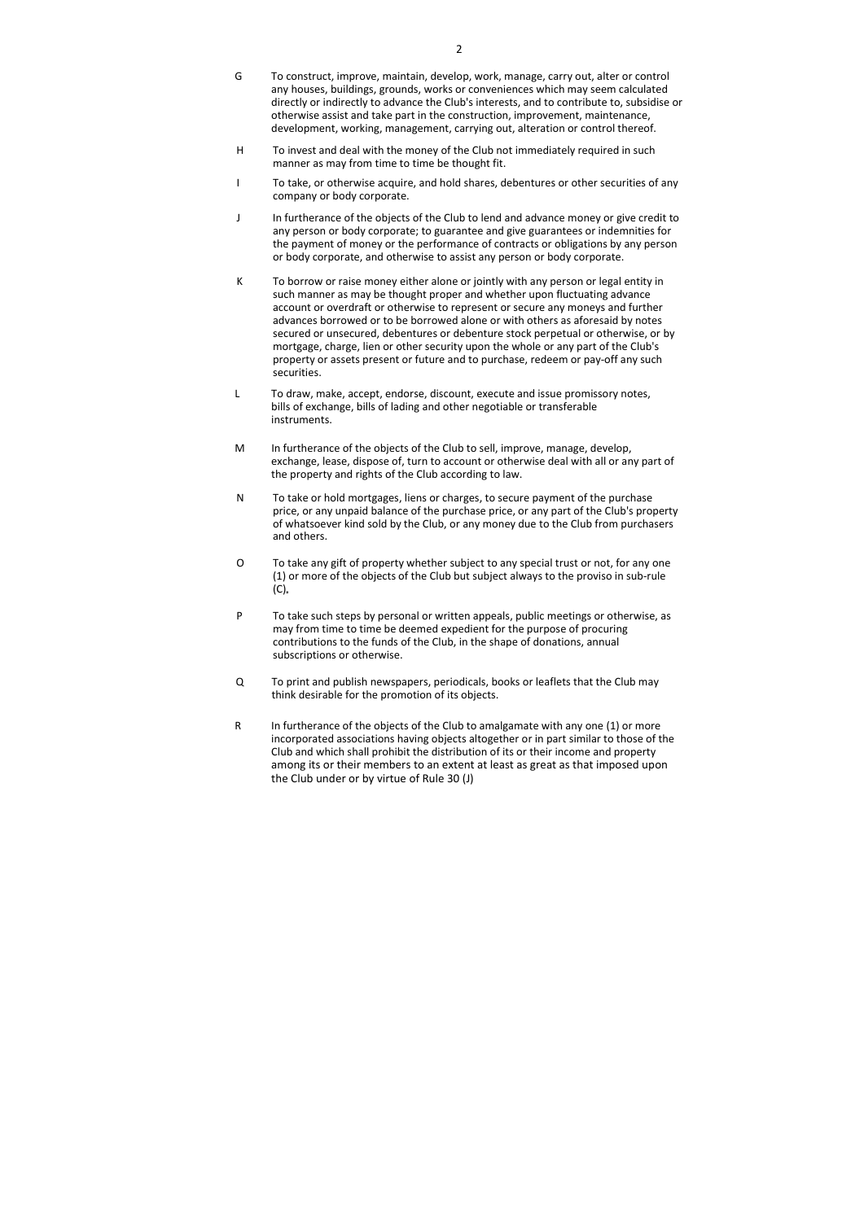- G To construct, improve, maintain, develop, work, manage, carry out, alter or control any houses, buildings, grounds, works or conveniences which may seem calculated directly or indirectly to advance the Club's interests, and to contribute to, subsidise or otherwise assist and take part in the construction, improvement, maintenance, development, working, management, carrying out, alteration or control thereof.
- H To invest and deal with the money of the Club not immediately required in such manner as may from time to time be thought fit.
- I To take, or otherwise acquire, and hold shares, debentures or other securities of any company or body corporate.
- J In furtherance of the objects of the Club to lend and advance money or give credit to any person or body corporate; to guarantee and give guarantees or indemnities for the payment of money or the performance of contracts or obligations by any person or body corporate, and otherwise to assist any person or body corporate.
- K To borrow or raise money either alone or jointly with any person or legal entity in such manner as may be thought proper and whether upon fluctuating advance account or overdraft or otherwise to represent or secure any moneys and further advances borrowed or to be borrowed alone or with others as aforesaid by notes secured or unsecured, debentures or debenture stock perpetual or otherwise, or by mortgage, charge, lien or other security upon the whole or any part of the Club's property or assets present or future and to purchase, redeem or pay-off any such securities.
- L To draw, make, accept, endorse, discount, execute and issue promissory notes, bills of exchange, bills of lading and other negotiable or transferable instruments.
- M In furtherance of the objects of the Club to sell, improve, manage, develop, exchange, lease, dispose of, turn to account or otherwise deal with all or any part of the property and rights of the Club according to law.
- N To take or hold mortgages, liens or charges, to secure payment of the purchase price, or any unpaid balance of the purchase price, or any part of the Club's property of whatsoever kind sold by the Club, or any money due to the Club from purchasers and others.
- O To take any gift of property whether subject to any special trust or not, for any one (1) or more of the objects of the Club but subject always to the proviso in sub-rule  $(C).$
- P To take such steps by personal or written appeals, public meetings or otherwise, as may from time to time be deemed expedient for the purpose of procuring contributions to the funds of the Club, in the shape of donations, annual subscriptions or otherwise.
- Q To print and publish newspapers, periodicals, books or leaflets that the Club may think desirable for the promotion of its objects.
- R In furtherance of the objects of the Club to amalgamate with any one (1) or more incorporated associations having objects altogether or in part similar to those of the Club and which shall prohibit the distribution of its or their income and property among its or their members to an extent at least as great as that imposed upon the Club under or by virtue of Rule 30 (J)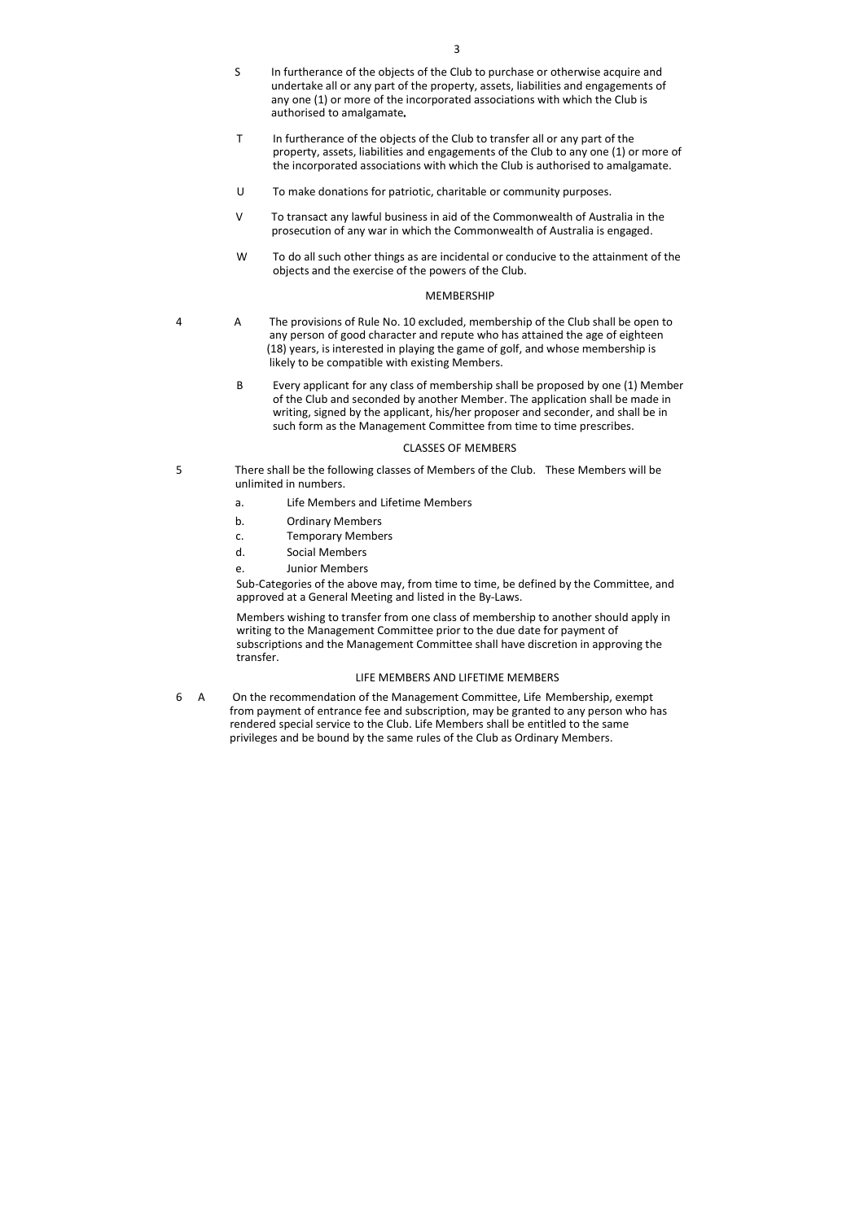- S In furtherance of the objects of the Club to purchase or otherwise acquire and undertake all or any part of the property, assets, liabilities and engagements of any one (1) or more of the incorporated associations with which the Club is authorised to amalgamate
- T In furtherance of the objects of the Club to transfer all or any part of the property, assets, liabilities and engagements of the Club to any one (1) or more of the incorporated associations with which the Club is authorised to amalgamate.
- U To make donations for patriotic, charitable or community purposes.
- V To transact any lawful business in aid of the Commonwealth of Australia in the prosecution of any war in which the Commonwealth of Australia is engaged.
- W To do all such other things as are incidental or conducive to the attainment of the objects and the exercise of the powers of the Club.

## **MEMBERSHIP**

- 4 A The provisions of Rule No. 10 excluded, membership of the Club shall be open to any person of good character and repute who has attained the age of eighteen (18) years, is interested in playing the game of golf, and whose membership is likely to be compatible with existing Members.
	- B Every applicant for any class of membership shall be proposed by one (1) Member of the Club and seconded by another Member. The application shall be made in writing, signed by the applicant, his/her proposer and seconder, and shall be in such form as the Management Committee from time to time prescribes.

#### CLASSES OF MEMBERS

- 5 There shall be the following classes of Members of the Club. These Members will be unlimited in numbers.
	- a. Life Members and Lifetime Members
	- b. Ordinary Members
	- c. Temporary Members
	- d. Social Members
	- e. Junior Members

Sub-Categories of the above may, from time to time, be defined by the Committee, and approved at a General Meeting and listed in the By-Laws.

Members wishing to transfer from one class of membership to another should apply in writing to the Management Committee prior to the due date for payment of subscriptions and the Management Committee shall have discretion in approving the transfer.

### LIFE MEMBERS AND LIFETIME MEMBERS

6 A On the recommendation of the Management Committee, Life Membership, exempt from payment of entrance fee and subscription, may be granted to any person who has rendered special service to the Club. Life Members shall be entitled to the same privileges and be bound by the same rules of the Club as Ordinary Members.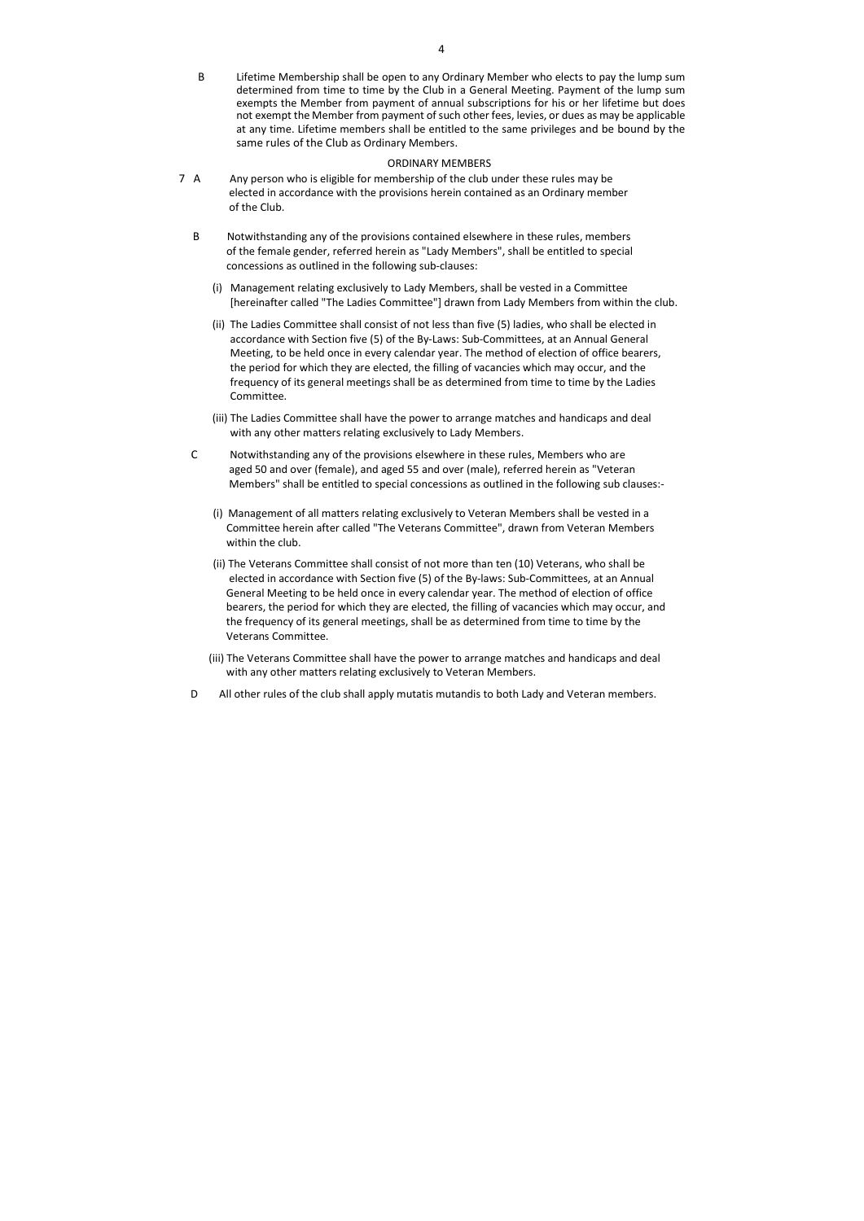B Lifetime Membership shall be open to any Ordinary Member who elects to pay the lump sum determined from time to time by the Club in a General Meeting. Payment of the lump sum exempts the Member from payment of annual subscriptions for his or her lifetime but does not exempt the Member from payment of such other fees, levies, or dues as may be applicable at any time. Lifetime members shall be entitled to the same privileges and be bound by the same rules of the Club as Ordinary Members.

### ORDINARY MEMBERS

- 7 A Any person who is eligible for membership of the club under these rules may be elected in accordance with the provisions herein contained as an Ordinary member of the Club.
	- B Notwithstanding any of the provisions contained elsewhere in these rules, members of the female gender, referred herein as "Lady Members", shall be entitled to special concessions as outlined in the following sub-clauses:
		- (i) Management relating exclusively to Lady Members, shall be vested in a Committee [hereinafter called "The Ladies Committee"] drawn from Lady Members from within the club.
		- (ii) The Ladies Committee shall consist of not less than five (5) ladies, who shall be elected in accordance with Section five (5) of the By-Laws: Sub-Committees, at an Annual General Meeting, to be held once in every calendar year. The method of election of office bearers, the period for which they are elected, the filling of vacancies which may occur, and the frequency of its general meetings shall be as determined from time to time by the Ladies Committee.
		- (iii) The Ladies Committee shall have the power to arrange matches and handicaps and deal with any other matters relating exclusively to Lady Members.
	- C Notwithstanding any of the provisions elsewhere in these rules, Members who are aged 50 and over (female), and aged 55 and over (male), referred herein as "Veteran Members" shall be entitled to special concessions as outlined in the following sub clauses:-
		- (i) Management of all matters relating exclusively to Veteran Members shall be vested in a Committee herein after called "The Veterans Committee", drawn from Veteran Members within the club.
		- (ii) The Veterans Committee shall consist of not more than ten (10) Veterans, who shall be elected in accordance with Section five (5) of the By-laws: Sub-Committees, at an Annual General Meeting to be held once in every calendar year. The method of election of office bearers, the period for which they are elected, the filling of vacancies which may occur, and the frequency of its general meetings, shall be as determined from time to time by the Veterans Committee.
		- (iii) The Veterans Committee shall have the power to arrange matches and handicaps and deal with any other matters relating exclusively to Veteran Members.
	- D All other rules of the club shall apply mutatis mutandis to both Lady and Veteran members.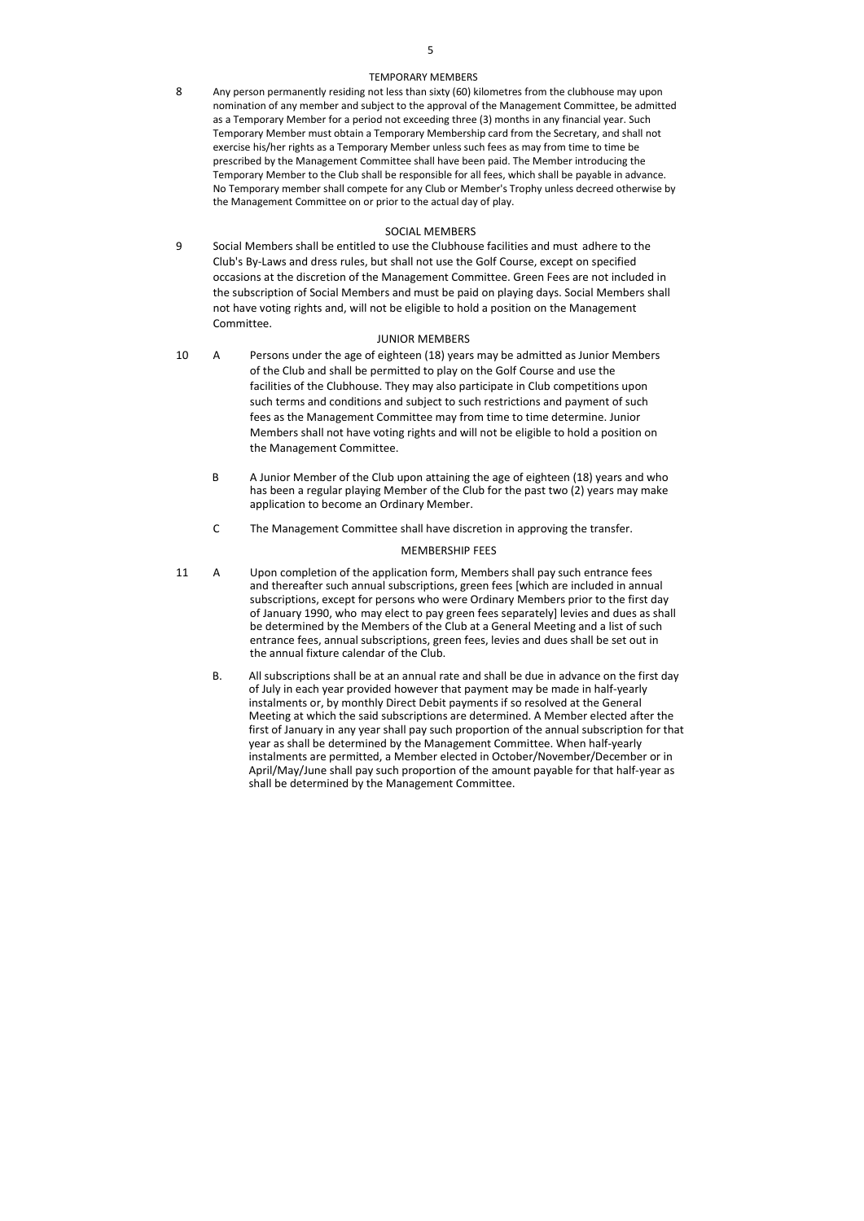### TEMPORARY MEMBERS

8 Any person permanently residing not less than sixty (60) kilometres from the clubhouse may upon nomination of any member and subject to the approval of the Management Committee, be admitted as a Temporary Member for a period not exceeding three (3) months in any financial year. Such Temporary Member must obtain a Temporary Membership card from the Secretary, and shall not exercise his/her rights as a Temporary Member unless such fees as may from time to time be prescribed by the Management Committee shall have been paid. The Member introducing the Temporary Member to the Club shall be responsible for all fees, which shall be payable in advance. No Temporary member shall compete for any Club or Member's Trophy unless decreed otherwise by the Management Committee on or prior to the actual day of play.

# SOCIAL MEMBERS

9 Social Members shall be entitled to use the Clubhouse facilities and must adhere to the Club's By-Laws and dress rules, but shall not use the Golf Course, except on specified occasions at the discretion of the Management Committee. Green Fees are not included in the subscription of Social Members and must be paid on playing days. Social Members shall not have voting rights and, will not be eligible to hold a position on the Management Committee.

## JUNIOR MEMBERS

- 10 A Persons under the age of eighteen (18) years may be admitted as Junior Members of the Club and shall be permitted to play on the Golf Course and use the facilities of the Clubhouse. They may also participate in Club competitions upon such terms and conditions and subject to such restrictions and payment of such fees as the Management Committee may from time to time determine. Junior Members shall not have voting rights and will not be eligible to hold a position on the Management Committee.
	- B A Junior Member of the Club upon attaining the age of eighteen (18) years and who has been a regular playing Member of the Club for the past two (2) years may make application to become an Ordinary Member.
	- C The Management Committee shall have discretion in approving the transfer.

## MEMBERSHIP FEES

- 11 A Upon completion of the application form, Members shall pay such entrance fees and thereafter such annual subscriptions, green fees [which are included in annual subscriptions, except for persons who were Ordinary Members prior to the first day of January 1990, who may elect to pay green fees separately] levies and dues as shall be determined by the Members of the Club at a General Meeting and a list of such entrance fees, annual subscriptions, green fees, levies and dues shall be set out in the annual fixture calendar of the Club.
	- B. All subscriptions shall be at an annual rate and shall be due in advance on the first day of July in each year provided however that payment may be made in half-yearly instalments or, by monthly Direct Debit payments if so resolved at the General Meeting at which the said subscriptions are determined. A Member elected after the first of January in any year shall pay such proportion of the annual subscription for that year as shall be determined by the Management Committee. When half-yearly instalments are permitted, a Member elected in October/November/December or in April/May/June shall pay such proportion of the amount payable for that half-year as shall be determined by the Management Committee.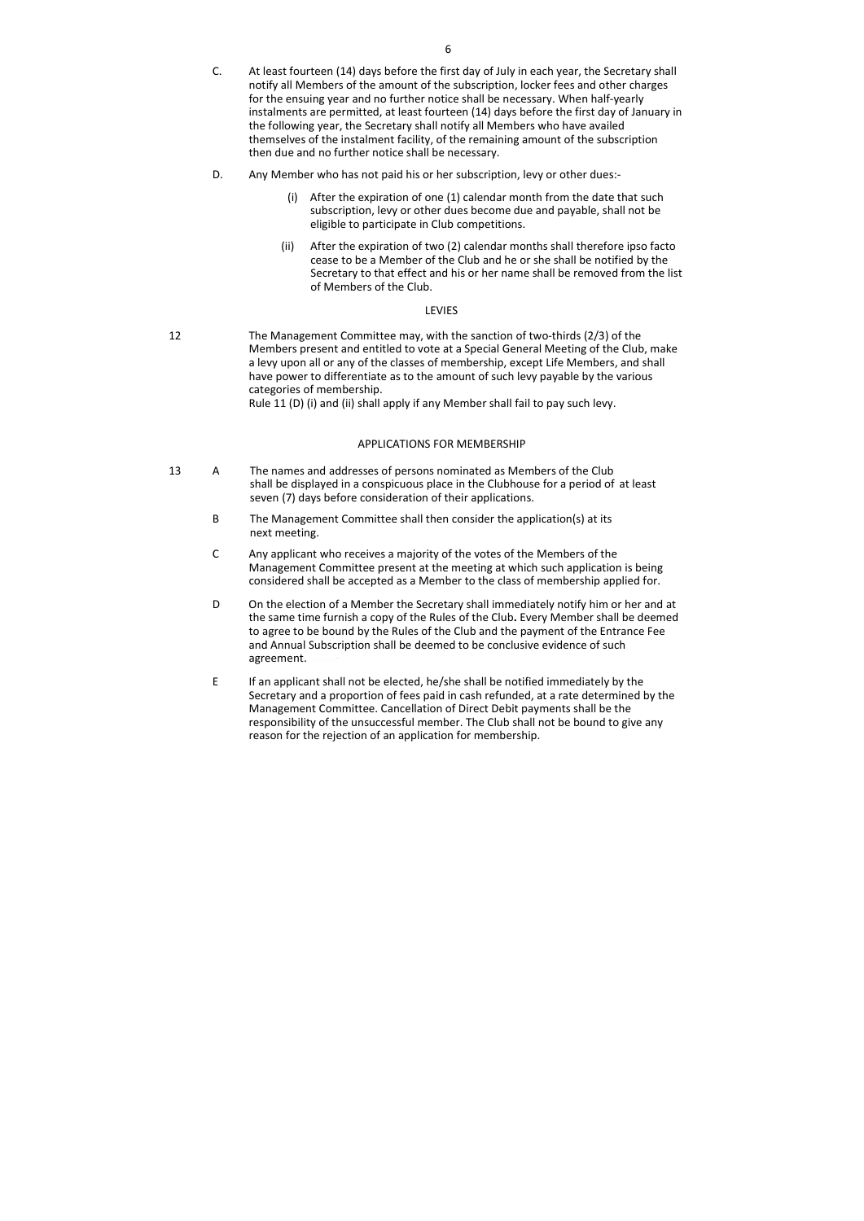- C. At least fourteen (14) days before the first day of July in each year, the Secretary shall notify all Members of the amount of the subscription, locker fees and other charges for the ensuing year and no further notice shall be necessary. When half-yearly instalments are permitted, at least fourteen (14) days before the first day of January in the following year, the Secretary shall notify all Members who have availed themselves of the instalment facility, of the remaining amount of the subscription then due and no further notice shall be necessary.
- D. Any Member who has not paid his or her subscription, levy or other dues:-
	- (i) After the expiration of one (1) calendar month from the date that such subscription, levy or other dues become due and payable, shall not be eligible to participate in Club competitions.
	- (ii) After the expiration of two (2) calendar months shall therefore ipso facto cease to be a Member of the Club and he or she shall be notified by the Secretary to that effect and his or her name shall be removed from the list of Members of the Club.

## LEVIES

12 The Management Committee may, with the sanction of two-thirds (2/3) of the Members present and entitled to vote at a Special General Meeting of the Club, make a levy upon all or any of the classes of membership, except Life Members, and shall have power to differentiate as to the amount of such levy payable by the various categories of membership. Rule 11 (D) (i) and (ii) shall apply if any Member shall fail to pay such levy.

# APPLICATIONS FOR MEMBERSHIP

- 13 A The names and addresses of persons nominated as Members of the Club shall be displayed in a conspicuous place in the Clubhouse for a period of at least seven (7) days before consideration of their applications.
	- B The Management Committee shall then consider the application(s) at its next meeting.
	- C Any applicant who receives a majority of the votes of the Members of the Management Committee present at the meeting at which such application is being considered shall be accepted as a Member to the class of membership applied for.
	- D On the election of a Member the Secretary shall immediately notify him or her and at the same time furnish a copy of the Rules of the Club. Every Member shall be deemed to agree to be bound by the Rules of the Club and the payment of the Entrance Fee and Annual Subscription shall be deemed to be conclusive evidence of such agreement.
	- E If an applicant shall not be elected, he/she shall be notified immediately by the Secretary and a proportion of fees paid in cash refunded, at a rate determined by the Management Committee. Cancellation of Direct Debit payments shall be the responsibility of the unsuccessful member. The Club shall not be bound to give any reason for the rejection of an application for membership.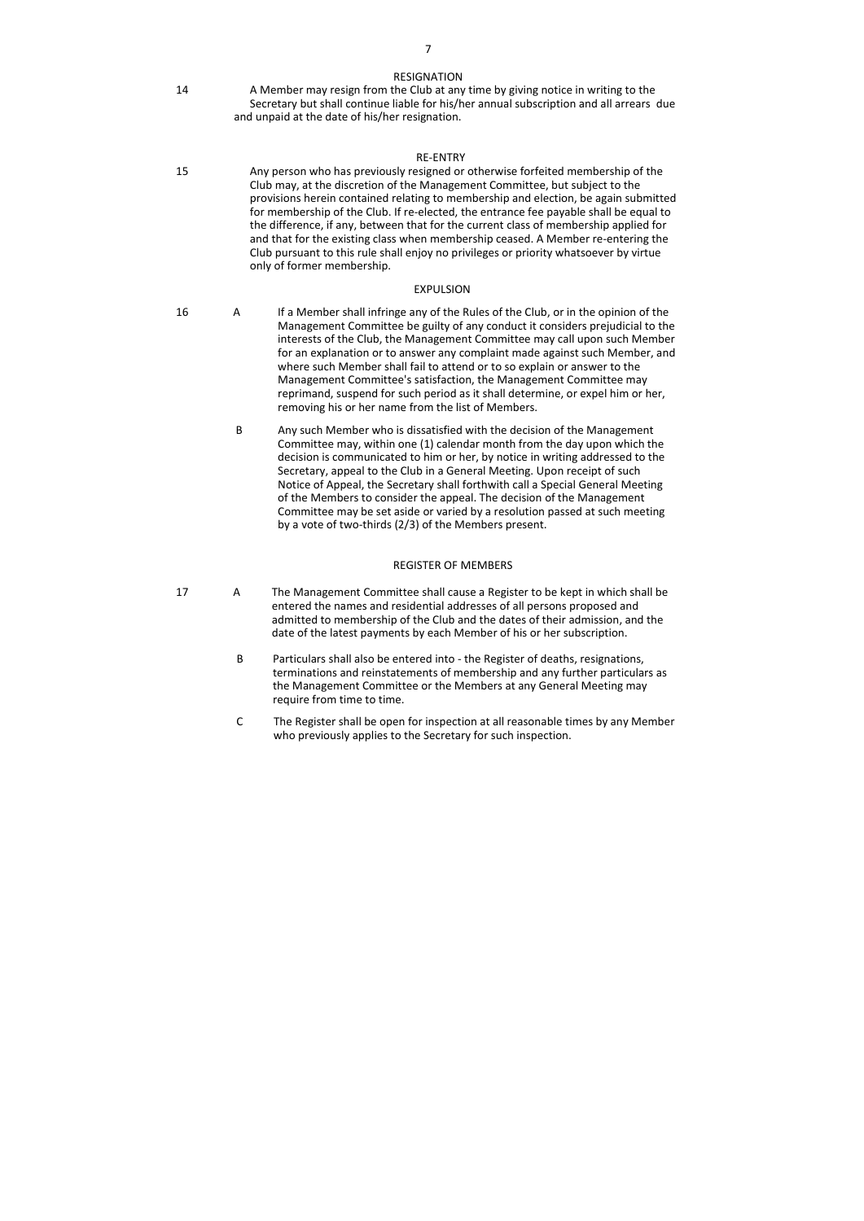### RESIGNATION

14 A Member may resign from the Club at any time by giving notice in writing to the Secretary but shall continue liable for his/her annual subscription and all arrears due and unpaid at the date of his/her resignation.

## RE-ENTRY

15 Any person who has previously resigned or otherwise forfeited membership of the Club may, at the discretion of the Management Committee, but subject to the provisions herein contained relating to membership and election, be again submitted for membership of the Club. If re-elected, the entrance fee payable shall be equal to the difference, if any, between that for the current class of membership applied for and that for the existing class when membership ceased. A Member re-entering the Club pursuant to this rule shall enjoy no privileges or priority whatsoever by virtue only of former membership.

## EXPULSION

- 16 A If a Member shall infringe any of the Rules of the Club, or in the opinion of the Management Committee be guilty of any conduct it considers prejudicial to the interests of the Club, the Management Committee may call upon such Member for an explanation or to answer any complaint made against such Member, and where such Member shall fail to attend or to so explain or answer to the Management Committee's satisfaction, the Management Committee may reprimand, suspend for such period as it shall determine, or expel him or her, removing his or her name from the list of Members.
	- B Any such Member who is dissatisfied with the decision of the Management Committee may, within one (1) calendar month from the day upon which the decision is communicated to him or her, by notice in writing addressed to the Secretary, appeal to the Club in a General Meeting. Upon receipt of such Notice of Appeal, the Secretary shall forthwith call a Special General Meeting of the Members to consider the appeal. The decision of the Management Committee may be set aside or varied by a resolution passed at such meeting by a vote of two-thirds (2/3) of the Members present.

## REGISTER OF MEMBERS

- 17 A The Management Committee shall cause a Register to be kept in which shall be entered the names and residential addresses of all persons proposed and admitted to membership of the Club and the dates of their admission, and the date of the latest payments by each Member of his or her subscription.
	- B Particulars shall also be entered into the Register of deaths, resignations, terminations and reinstatements of membership and any further particulars as the Management Committee or the Members at any General Meeting may require from time to time.
	- C The Register shall be open for inspection at all reasonable times by any Member who previously applies to the Secretary for such inspection.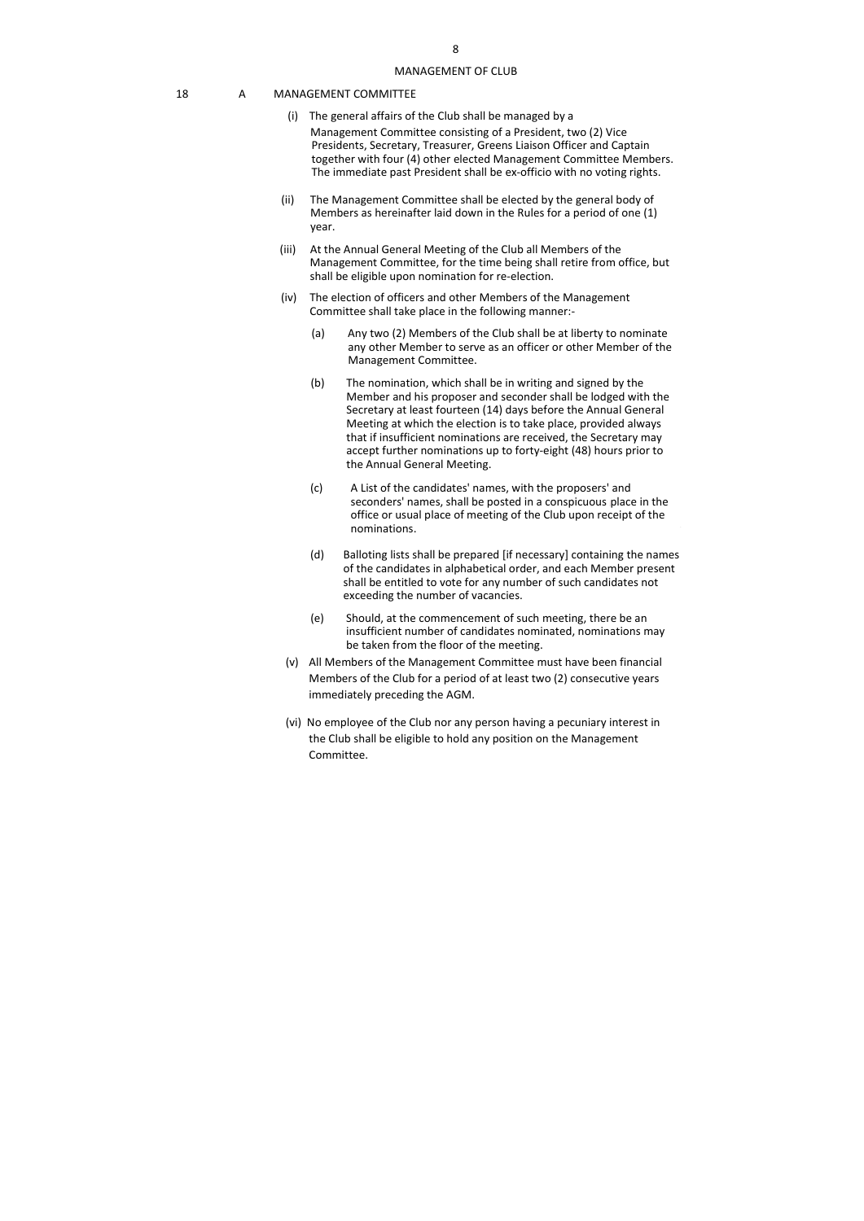#### 18 A MANAGEMENT COMMITTEE

- (i) The general affairs of the Club shall be managed by a Management Committee consisting of a President, two (2) Vice Presidents, Secretary, Treasurer, Greens Liaison Officer and Captain together with four (4) other elected Management Committee Members. The immediate past President shall be ex-officio with no voting rights.
- (ii) The Management Committee shall be elected by the general body of Members as hereinafter laid down in the Rules for a period of one (1) year.
- (iii) At the Annual General Meeting of the Club all Members of the Management Committee, for the time being shall retire from office, but shall be eligible upon nomination for re-election.
- (iv) The election of officers and other Members of the Management Committee shall take place in the following manner:-
	- (a) Any two (2) Members of the Club shall be at liberty to nominate any other Member to serve as an officer or other Member of the Management Committee.
	- (b) The nomination, which shall be in writing and signed by the Member and his proposer and seconder shall be lodged with the Secretary at least fourteen (14) days before the Annual General Meeting at which the election is to take place, provided always that if insufficient nominations are received, the Secretary may accept further nominations up to forty-eight (48) hours prior to the Annual General Meeting.
	- (c) A List of the candidates' names, with the proposers' and seconders' names, shall be posted in a conspicuous place in the office or usual place of meeting of the Club upon receipt of the nominations.
	- (d) Balloting lists shall be prepared [if necessary] containing the names of the candidates in alphabetical order, and each Member present shall be entitled to vote for any number of such candidates not exceeding the number of vacancies.
	- (e) Should, at the commencement of such meeting, there be an insufficient number of candidates nominated, nominations may be taken from the floor of the meeting.
- (v) All Members of the Management Committee must have been financial Members of the Club for a period of at least two (2) consecutive years immediately preceding the AGM.
- (vi) No employee of the Club nor any person having a pecuniary interest in the Club shall be eligible to hold any position on the Management Committee.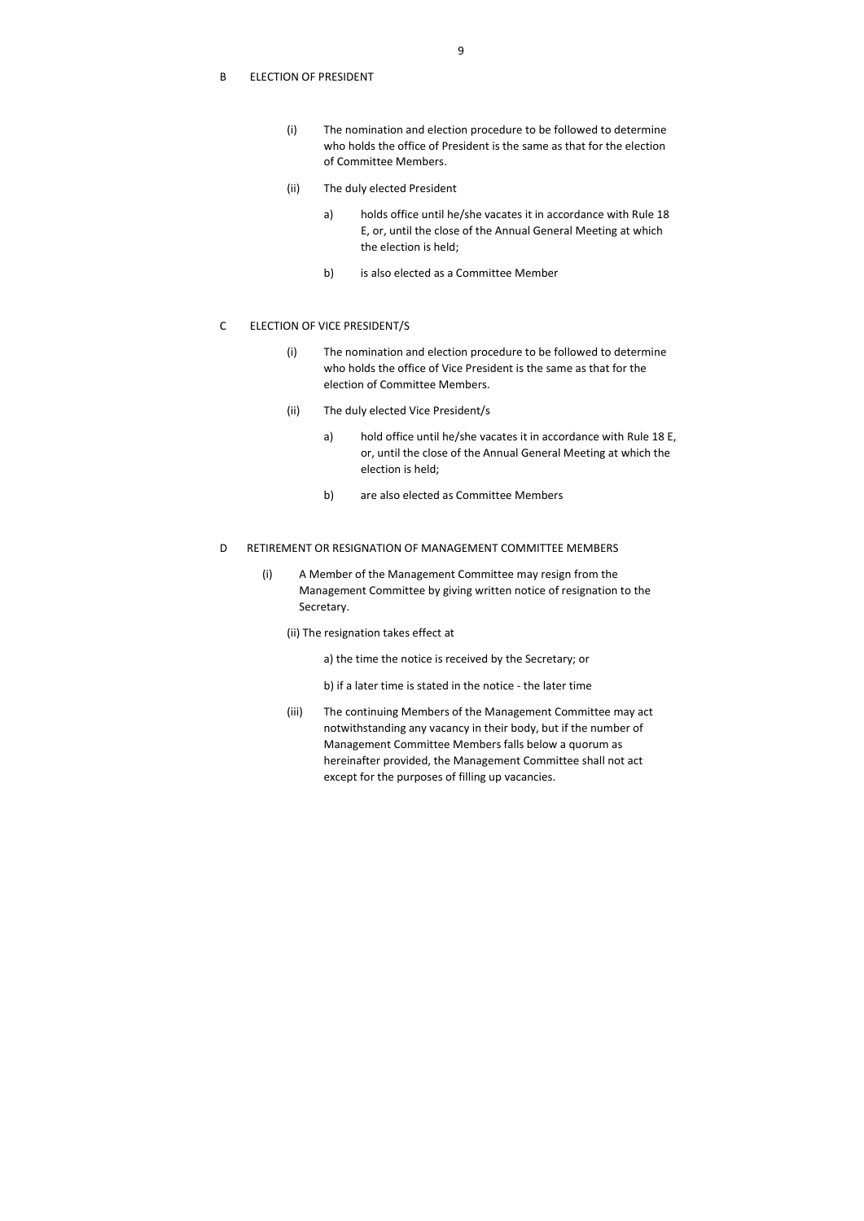### B ELECTION OF PRESIDENT

- (i) The nomination and election procedure to be followed to determine who holds the office of President is the same as that for the election of Committee Members.
- (ii) The duly elected President
	- a) holds office until he/she vacates it in accordance with Rule 18 E, or, until the close of the Annual General Meeting at which the election is held;
	- b) is also elected as a Committee Member

## C ELECTION OF VICE PRESIDENT/S

- (i) The nomination and election procedure to be followed to determine who holds the office of Vice President is the same as that for the election of Committee Members.
- (ii) The duly elected Vice President/s
	- a) hold office until he/she vacates it in accordance with Rule 18 E, or, until the close of the Annual General Meeting at which the election is held;
	- b) are also elected as Committee Members

# D RETIREMENT OR RESIGNATION OF MANAGEMENT COMMITTEE MEMBERS

- (i) A Member of the Management Committee may resign from the Management Committee by giving written notice of resignation to the Secretary.
	- (ii) The resignation takes effect at
		- a) the time the notice is received by the Secretary; or
		- b) if a later time is stated in the notice the later time
	- (iii) The continuing Members of the Management Committee may act notwithstanding any vacancy in their body, but if the number of Management Committee Members falls below a quorum as hereinafter provided, the Management Committee shall not act except for the purposes of filling up vacancies.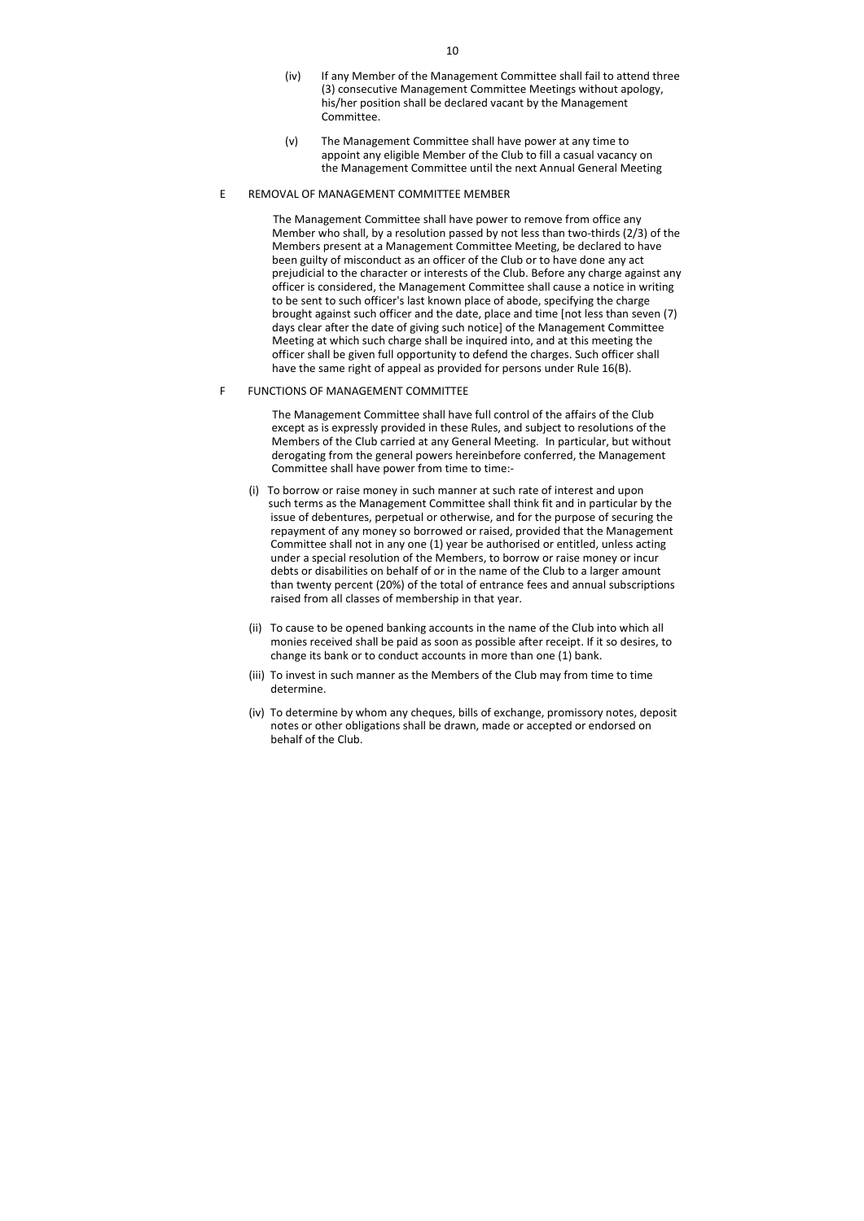- (iv) If any Member of the Management Committee shall fail to attend three (3) consecutive Management Committee Meetings without apology, his/her position shall be declared vacant by the Management Committee.
- (v) The Management Committee shall have power at any time to appoint any eligible Member of the Club to fill a casual vacancy on the Management Committee until the next Annual General Meeting

### E REMOVAL OF MANAGEMENT COMMITTEE MEMBER

The Management Committee shall have power to remove from office any Member who shall, by a resolution passed by not less than two-thirds (2/3) of the Members present at a Management Committee Meeting, be declared to have been guilty of misconduct as an officer of the Club or to have done any act prejudicial to the character or interests of the Club. Before any charge against any officer is considered, the Management Committee shall cause a notice in writing to be sent to such officer's last known place of abode, specifying the charge brought against such officer and the date, place and time [not less than seven (7) days clear after the date of giving such notice] of the Management Committee Meeting at which such charge shall be inquired into, and at this meeting the officer shall be given full opportunity to defend the charges. Such officer shall have the same right of appeal as provided for persons under Rule 16(B).

### F FUNCTIONS OF MANAGEMENT COMMITTEE

The Management Committee shall have full control of the affairs of the Club except as is expressly provided in these Rules, and subject to resolutions of the Members of the Club carried at any General Meeting. In particular, but without derogating from the general powers hereinbefore conferred, the Management Committee shall have power from time to time:-

- (i) To borrow or raise money in such manner at such rate of interest and upon such terms as the Management Committee shall think fit and in particular by the issue of debentures, perpetual or otherwise, and for the purpose of securing the repayment of any money so borrowed or raised, provided that the Management Committee shall not in any one (1) year be authorised or entitled, unless acting under a special resolution of the Members, to borrow or raise money or incur debts or disabilities on behalf of or in the name of the Club to a larger amount than twenty percent (20%) of the total of entrance fees and annual subscriptions raised from all classes of membership in that year.
- (ii) To cause to be opened banking accounts in the name of the Club into which all monies received shall be paid as soon as possible after receipt. If it so desires, to change its bank or to conduct accounts in more than one (1) bank.
- (iii) To invest in such manner as the Members of the Club may from time to time determine.
- (iv) To determine by whom any cheques, bills of exchange, promissory notes, deposit notes or other obligations shall be drawn, made or accepted or endorsed on behalf of the Club.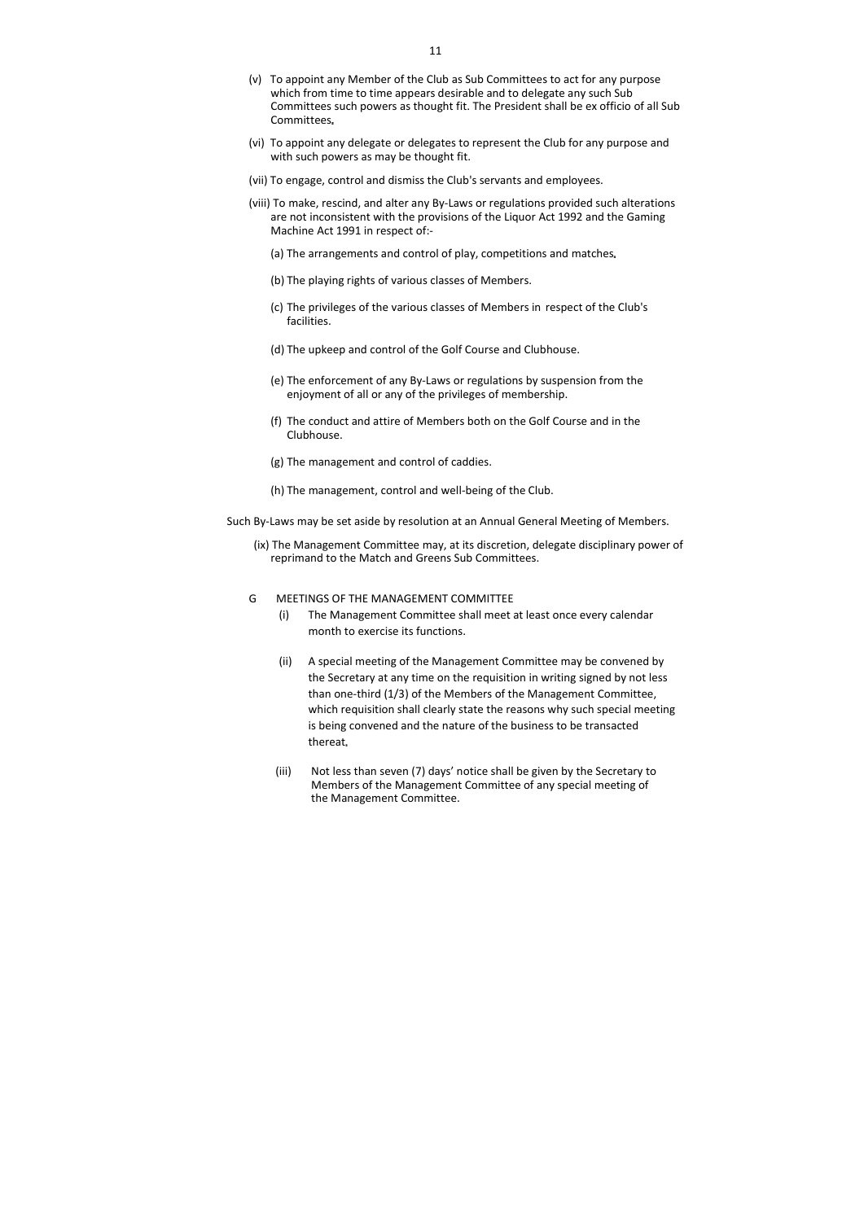- (v) To appoint any Member of the Club as Sub Committees to act for any purpose which from time to time appears desirable and to delegate any such Sub Committees such powers as thought fit. The President shall be ex officio of all Sub Committees
- (vi) To appoint any delegate or delegates to represent the Club for any purpose and with such powers as may be thought fit.
- (vii) To engage, control and dismiss the Club's servants and employees.
- (viii) To make, rescind, and alter any By-Laws or regulations provided such alterations are not inconsistent with the provisions of the Liquor Act 1992 and the Gaming Machine Act 1991 in respect of:-
	- (a) The arrangements and control of play, competitions and matches
	- (b) The playing rights of various classes of Members.
	- (c) The privileges of the various classes of Members in respect of the Club's facilities.
	- (d) The upkeep and control of the Golf Course and Clubhouse.
	- (e) The enforcement of any By-Laws or regulations by suspension from the enjoyment of all or any of the privileges of membership.
	- (f) The conduct and attire of Members both on the Golf Course and in the Clubhouse.
	- (g) The management and control of caddies.
	- (h) The management, control and well-being of the Club.
- Such By-Laws may be set aside by resolution at an Annual General Meeting of Members.
	- (ix) The Management Committee may, at its discretion, delegate disciplinary power of reprimand to the Match and Greens Sub Committees.

#### G MEETINGS OF THE MANAGEMENT COMMITTEE

- (i) The Management Committee shall meet at least once every calendar month to exercise its functions.
- (ii) A special meeting of the Management Committee may be convened by the Secretary at any time on the requisition in writing signed by not less than one-third (1/3) of the Members of the Management Committee, which requisition shall clearly state the reasons why such special meeting is being convened and the nature of the business to be transacted thereat
- (iii) Not less than seven (7) days' notice shall be given by the Secretary to Members of the Management Committee of any special meeting of the Management Committee.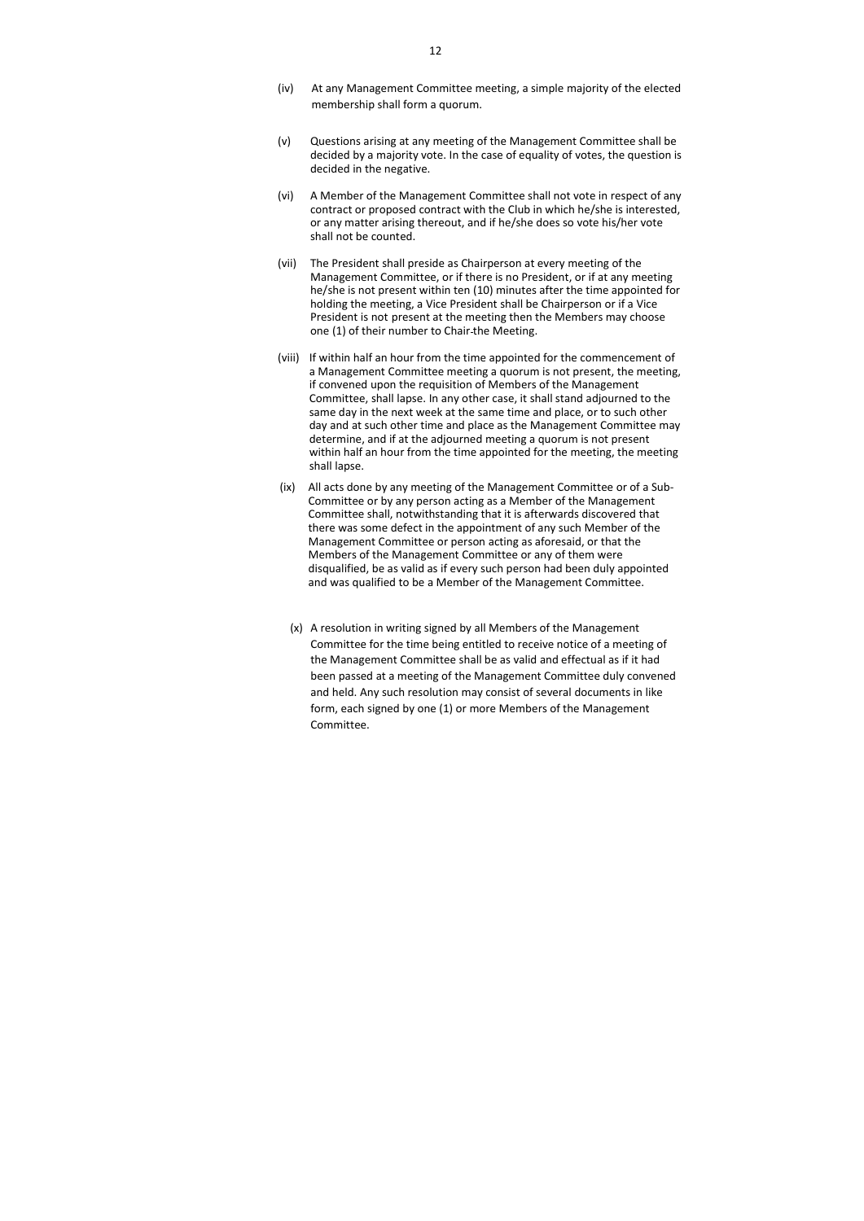- (iv) At any Management Committee meeting, a simple majority of the elected membership shall form a quorum.
- (v) Questions arising at any meeting of the Management Committee shall be decided by a majority vote. In the case of equality of votes, the question is decided in the negative.
- (vi) A Member of the Management Committee shall not vote in respect of any contract or proposed contract with the Club in which he/she is interested, or any matter arising thereout, and if he/she does so vote his/her vote shall not be counted.
- (vii) The President shall preside as Chairperson at every meeting of the Management Committee, or if there is no President, or if at any meeting he/she is not present within ten (10) minutes after the time appointed for holding the meeting, a Vice President shall be Chairperson or if a Vice President is not present at the meeting then the Members may choose one (1) of their number to Chair the Meeting.
- (viii) If within half an hour from the time appointed for the commencement of a Management Committee meeting a quorum is not present, the meeting, if convened upon the requisition of Members of the Management Committee, shall lapse. In any other case, it shall stand adjourned to the same day in the next week at the same time and place, or to such other day and at such other time and place as the Management Committee may determine, and if at the adjourned meeting a quorum is not present within half an hour from the time appointed for the meeting, the meeting shall lapse.
- (ix) All acts done by any meeting of the Management Committee or of a Sub-Committee or by any person acting as a Member of the Management Committee shall, notwithstanding that it is afterwards discovered that there was some defect in the appointment of any such Member of the Management Committee or person acting as aforesaid, or that the Members of the Management Committee or any of them were disqualified, be as valid as if every such person had been duly appointed and was qualified to be a Member of the Management Committee.
	- (x) A resolution in writing signed by all Members of the Management Committee for the time being entitled to receive notice of a meeting of the Management Committee shall be as valid and effectual as if it had been passed at a meeting of the Management Committee duly convened and held. Any such resolution may consist of several documents in like form, each signed by one (1) or more Members of the Management Committee.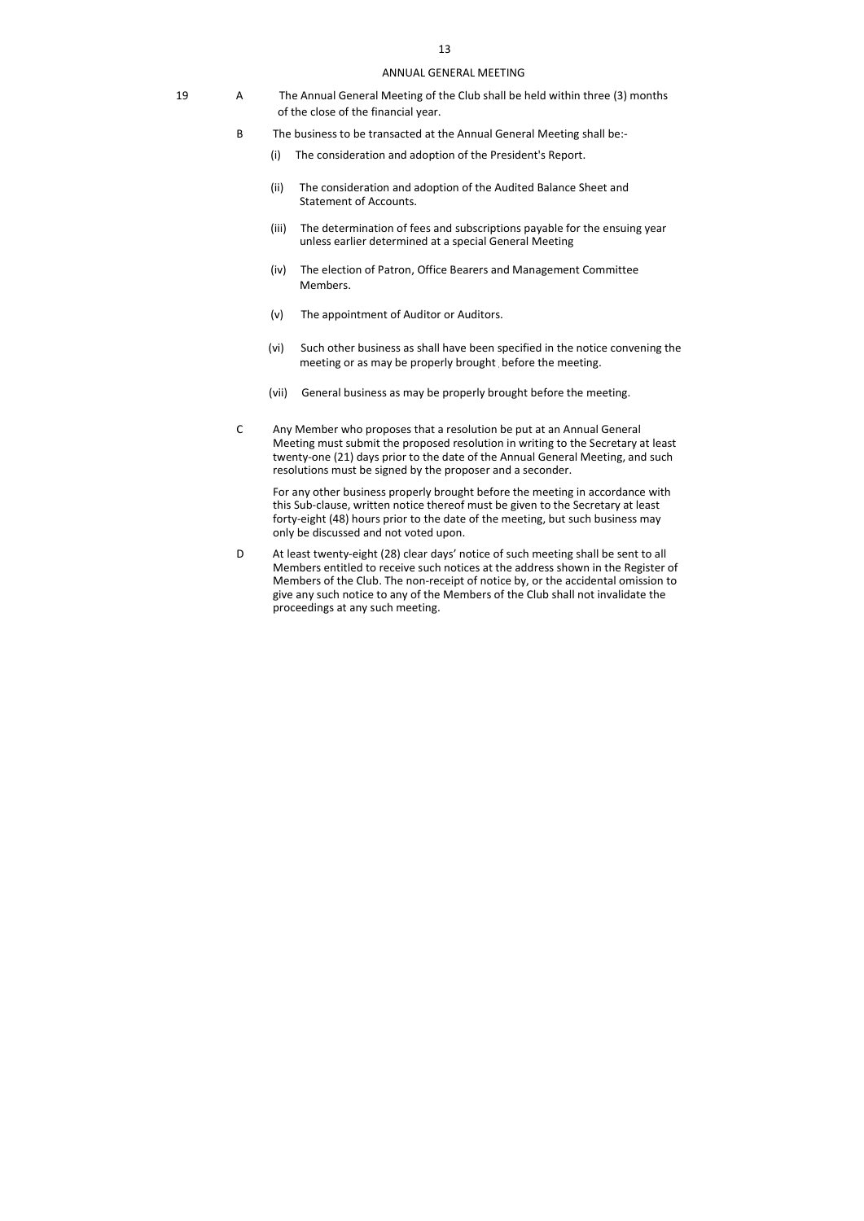#### ANNUAL GENERAL MEETING

- 19 A The Annual General Meeting of the Club shall be held within three (3) months of the close of the financial year.
	- B The business to be transacted at the Annual General Meeting shall be:-
		- (i) The consideration and adoption of the President's Report.
		- (ii) The consideration and adoption of the Audited Balance Sheet and Statement of Accounts.
		- (iii) The determination of fees and subscriptions payable for the ensuing year unless earlier determined at a special General Meeting
		- (iv) The election of Patron, Office Bearers and Management Committee Members.
		- (v) The appointment of Auditor or Auditors.
		- (vi) Such other business as shall have been specified in the notice convening the meeting or as may be properly brought before the meeting.
		- (vii) General business as may be properly brought before the meeting.
	- C Any Member who proposes that a resolution be put at an Annual General Meeting must submit the proposed resolution in writing to the Secretary at least twenty-one (21) days prior to the date of the Annual General Meeting, and such resolutions must be signed by the proposer and a seconder.

 For any other business properly brought before the meeting in accordance with this Sub-clause, written notice thereof must be given to the Secretary at least forty-eight (48) hours prior to the date of the meeting, but such business may only be discussed and not voted upon.

D At least twenty-eight (28) clear days' notice of such meeting shall be sent to all Members entitled to receive such notices at the address shown in the Register of Members of the Club. The non-receipt of notice by, or the accidental omission to give any such notice to any of the Members of the Club shall not invalidate the proceedings at any such meeting.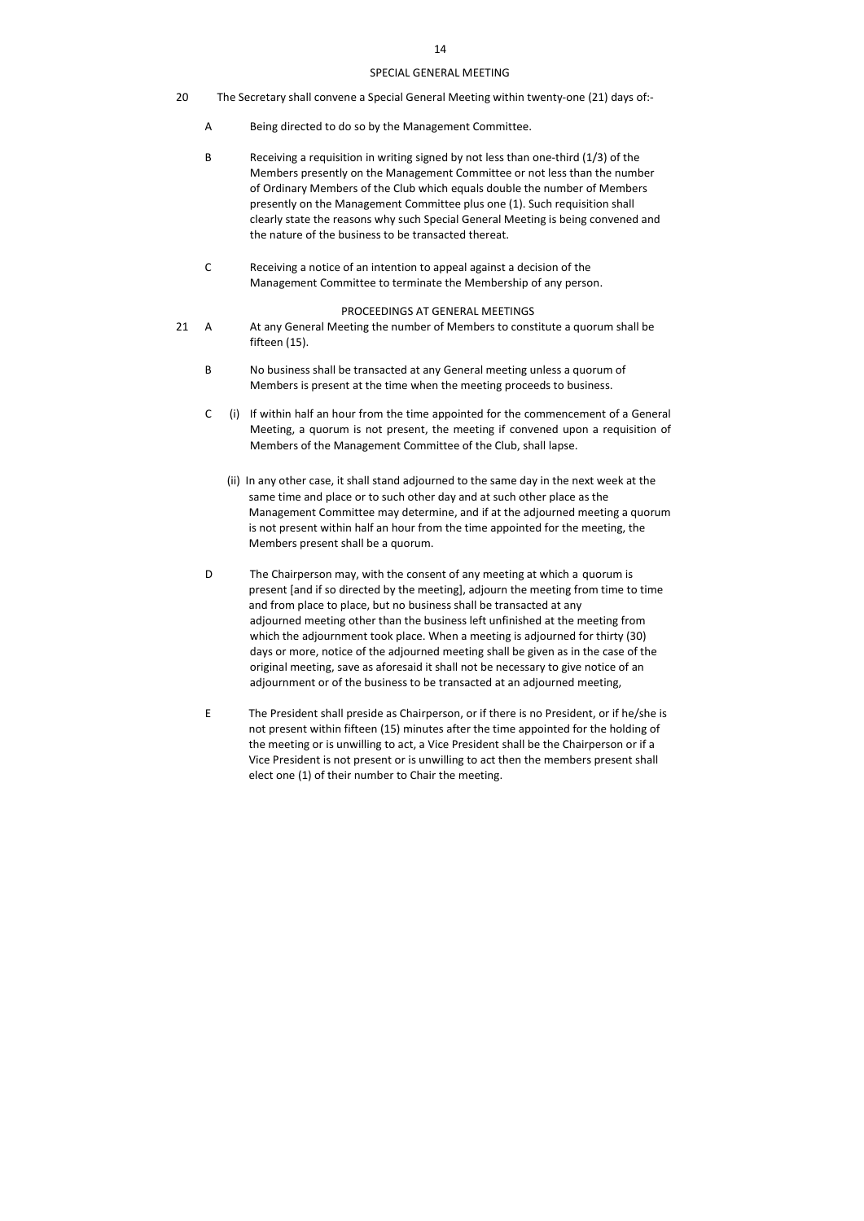## SPECIAL GENERAL MEETING

- 20 The Secretary shall convene a Special General Meeting within twenty-one (21) days of:-
	- A Being directed to do so by the Management Committee.
	- B Receiving a requisition in writing signed by not less than one-third (1/3) of the Members presently on the Management Committee or not less than the number of Ordinary Members of the Club which equals double the number of Members presently on the Management Committee plus one (1). Such requisition shall clearly state the reasons why such Special General Meeting is being convened and the nature of the business to be transacted thereat.
	- C Receiving a notice of an intention to appeal against a decision of the Management Committee to terminate the Membership of any person.

### PROCEEDINGS AT GENERAL MEETINGS

- 21 A At any General Meeting the number of Members to constitute a quorum shall be fifteen (15).
	- B No business shall be transacted at any General meeting unless a quorum of Members is present at the time when the meeting proceeds to business.
	- C (i) If within half an hour from the time appointed for the commencement of a General Meeting, a quorum is not present, the meeting if convened upon a requisition of Members of the Management Committee of the Club, shall lapse.
		- (ii) In any other case, it shall stand adjourned to the same day in the next week at the same time and place or to such other day and at such other place as the Management Committee may determine, and if at the adjourned meeting a quorum is not present within half an hour from the time appointed for the meeting, the Members present shall be a quorum.
	- D The Chairperson may, with the consent of any meeting at which a quorum is present [and if so directed by the meeting], adjourn the meeting from time to time and from place to place, but no business shall be transacted at any adjourned meeting other than the business left unfinished at the meeting from which the adjournment took place. When a meeting is adjourned for thirty (30) days or more, notice of the adjourned meeting shall be given as in the case of the original meeting, save as aforesaid it shall not be necessary to give notice of an adjournment or of the business to be transacted at an adjourned meeting,
	- E The President shall preside as Chairperson, or if there is no President, or if he/she is not present within fifteen (15) minutes after the time appointed for the holding of the meeting or is unwilling to act, a Vice President shall be the Chairperson or if a Vice President is not present or is unwilling to act then the members present shall elect one (1) of their number to Chair the meeting.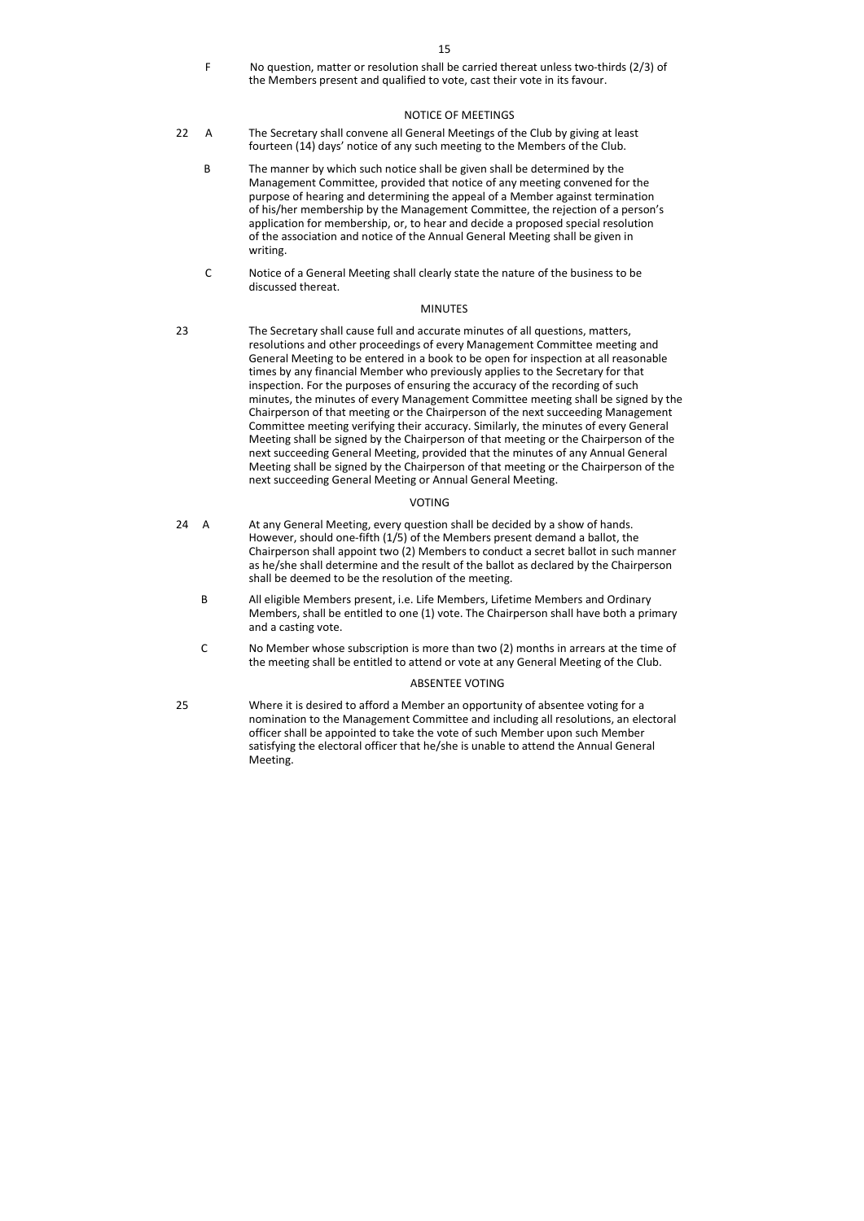F No question, matter or resolution shall be carried thereat unless two-thirds (2/3) of the Members present and qualified to vote, cast their vote in its favour.

# NOTICE OF MEETINGS

- 22 A The Secretary shall convene all General Meetings of the Club by giving at least fourteen (14) days' notice of any such meeting to the Members of the Club.
	- B The manner by which such notice shall be given shall be determined by the Management Committee, provided that notice of any meeting convened for the purpose of hearing and determining the appeal of a Member against termination of his/her membership by the Management Committee, the rejection of a person's application for membership, or, to hear and decide a proposed special resolution of the association and notice of the Annual General Meeting shall be given in writing.
	- C Notice of a General Meeting shall clearly state the nature of the business to be discussed thereat.

## MINUTES

- 24 A At any General Meeting, every question shall be decided by a show of hands. However, should one-fifth (1/5) of the Members present demand a ballot, the Chairperson shall appoint two (2) Members to conduct a secret ballot in such manner as he/she shall determine and the result of the ballot as declared by the Chairperson shall be deemed to be the resolution of the meeting.
	- B All eligible Members present, i.e. Life Members, Lifetime Members and Ordinary Members, shall be entitled to one (1) vote. The Chairperson shall have both a primary and a casting vote.
	- C No Member whose subscription is more than two (2) months in arrears at the time of the meeting shall be entitled to attend or vote at any General Meeting of the Club.

23 The Secretary shall cause full and accurate minutes of all questions, matters, resolutions and other proceedings of every Management Committee meeting and General Meeting to be entered in a book to be open for inspection at all reasonable times by any financial Member who previously applies to the Secretary for that inspection. For the purposes of ensuring the accuracy of the recording of such minutes, the minutes of every Management Committee meeting shall be signed by the Chairperson of that meeting or the Chairperson of the next succeeding Management Committee meeting verifying their accuracy. Similarly, the minutes of every General Meeting shall be signed by the Chairperson of that meeting or the Chairperson of the next succeeding General Meeting, provided that the minutes of any Annual General Meeting shall be signed by the Chairperson of that meeting or the Chairperson of the next succeeding General Meeting or Annual General Meeting.

# VOTING

## ABSENTEE VOTING

25 Where it is desired to afford a Member an opportunity of absentee voting for a nomination to the Management Committee and including all resolutions, an electoral officer shall be appointed to take the vote of such Member upon such Member satisfying the electoral officer that he/she is unable to attend the Annual General Meeting.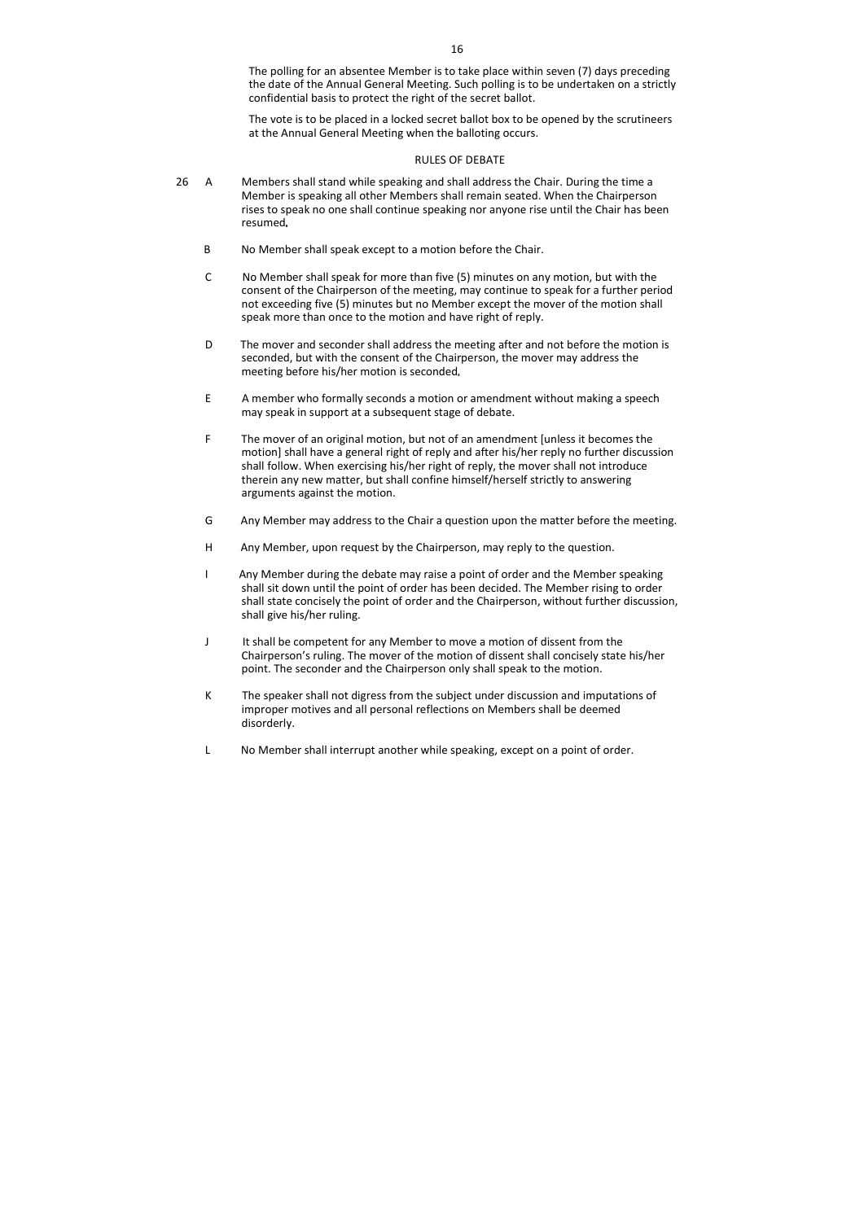The polling for an absentee Member is to take place within seven (7) days preceding the date of the Annual General Meeting. Such polling is to be undertaken on a strictly confidential basis to protect the right of the secret ballot.

The vote is to be placed in a locked secret ballot box to be opened by the scrutineers at the Annual General Meeting when the balloting occurs.

#### RULES OF DEBATE

- 26 A Members shall stand while speaking and shall address the Chair. During the time a Member is speaking all other Members shall remain seated. When the Chairperson rises to speak no one shall continue speaking nor anyone rise until the Chair has been resumed
	- B No Member shall speak except to a motion before the Chair.
	- C No Member shall speak for more than five (5) minutes on any motion, but with the consent of the Chairperson of the meeting, may continue to speak for a further period not exceeding five (5) minutes but no Member except the mover of the motion shall speak more than once to the motion and have right of reply.
	- D The mover and seconder shall address the meeting after and not before the motion is seconded, but with the consent of the Chairperson, the mover may address the meeting before his/her motion is seconded
	- E A member who formally seconds a motion or amendment without making a speech may speak in support at a subsequent stage of debate.
	- F The mover of an original motion, but not of an amendment [unless it becomes the motion] shall have a general right of reply and after his/her reply no further discussion shall follow. When exercising his/her right of reply, the mover shall not introduce therein any new matter, but shall confine himself/herself strictly to answering arguments against the motion.
	- G Any Member may address to the Chair a question upon the matter before the meeting.
	- H Any Member, upon request by the Chairperson, may reply to the question.
	- I Any Member during the debate may raise a point of order and the Member speaking shall sit down until the point of order has been decided. The Member rising to order shall state concisely the point of order and the Chairperson, without further discussion, shall give his/her ruling.
	- J It shall be competent for any Member to move a motion of dissent from the Chairperson's ruling. The mover of the motion of dissent shall concisely state his/her point. The seconder and the Chairperson only shall speak to the motion.
	- K The speaker shall not digress from the subject under discussion and imputations of improper motives and all personal reflections on Members shall be deemed disorderly.
	- L No Member shall interrupt another while speaking, except on a point of order.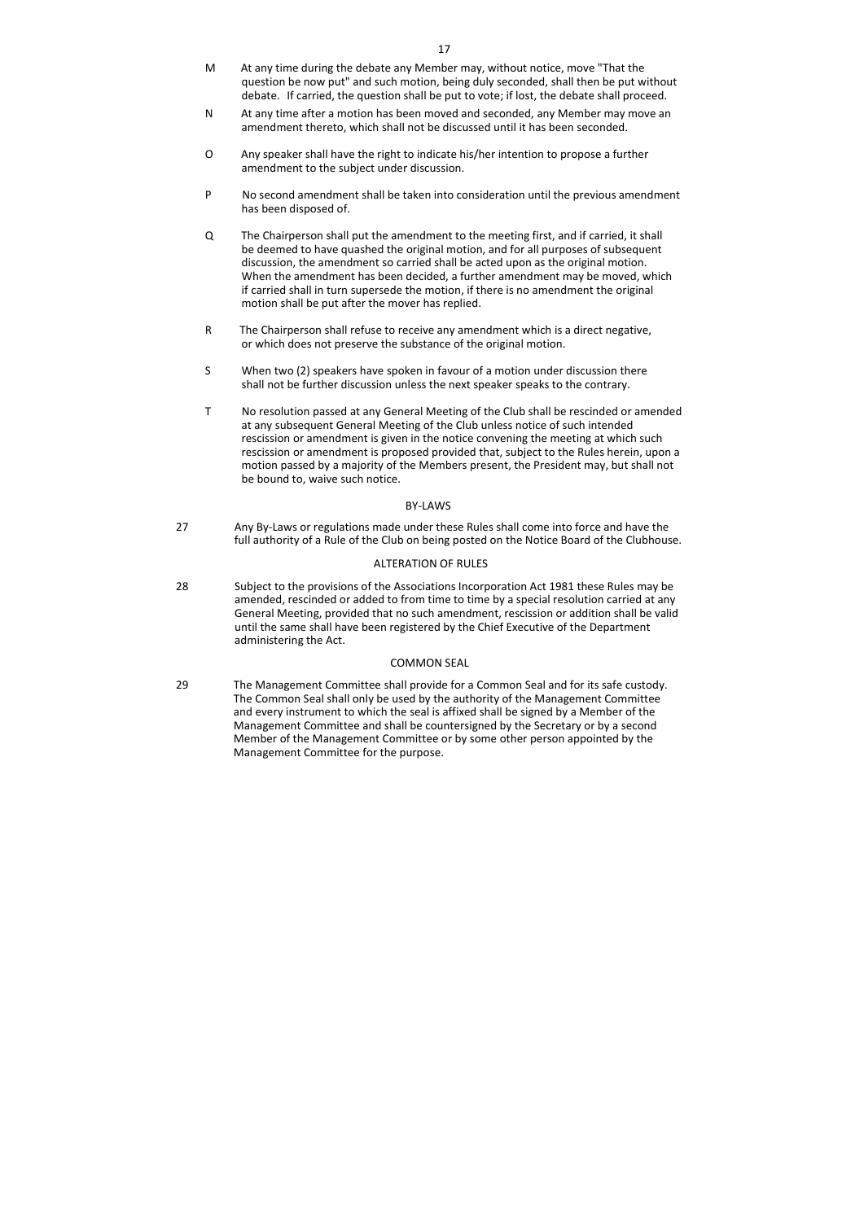- M At any time during the debate any Member may, without notice, move "That the question be now put" and such motion, being duly seconded, shall then be put without debate. If carried, the question shall be put to vote; if lost, the debate shall proceed.
- N At any time after a motion has been moved and seconded, any Member may move an amendment thereto, which shall not be discussed until it has been seconded.
- O Any speaker shall have the right to indicate his/her intention to propose a further amendment to the subject under discussion.
- P No second amendment shall be taken into consideration until the previous amendment has been disposed of.
- Q The Chairperson shall put the amendment to the meeting first, and if carried, it shall be deemed to have quashed the original motion, and for all purposes of subsequent discussion, the amendment so carried shall be acted upon as the original motion. When the amendment has been decided, a further amendment may be moved, which if carried shall in turn supersede the motion, if there is no amendment the original motion shall be put after the mover has replied.
- R The Chairperson shall refuse to receive any amendment which is a direct negative, or which does not preserve the substance of the original motion.
- S When two (2) speakers have spoken in favour of a motion under discussion there shall not be further discussion unless the next speaker speaks to the contrary.
- T No resolution passed at any General Meeting of the Club shall be rescinded or amended at any subsequent General Meeting of the Club unless notice of such intended rescission or amendment is given in the notice convening the meeting at which such rescission or amendment is proposed provided that, subject to the Rules herein, upon a motion passed by a majority of the Members present, the President may, but shall not be bound to, waive such notice.

## BY-LAWS

27 Any By-Laws or regulations made under these Rules shall come into force and have the full authority of a Rule of the Club on being posted on the Notice Board of the Clubhouse.

## ALTERATION OF RULES

28 Subject to the provisions of the Associations Incorporation Act 1981 these Rules may be amended, rescinded or added to from time to time by a special resolution carried at any General Meeting, provided that no such amendment, rescission or addition shall be valid until the same shall have been registered by the Chief Executive of the Department administering the Act.

## COMMON SEAL

29 The Management Committee shall provide for a Common Seal and for its safe custody. The Common Seal shall only be used by the authority of the Management Committee and every instrument to which the seal is affixed shall be signed by a Member of the Management Committee and shall be countersigned by the Secretary or by a second Member of the Management Committee or by some other person appointed by the Management Committee for the purpose.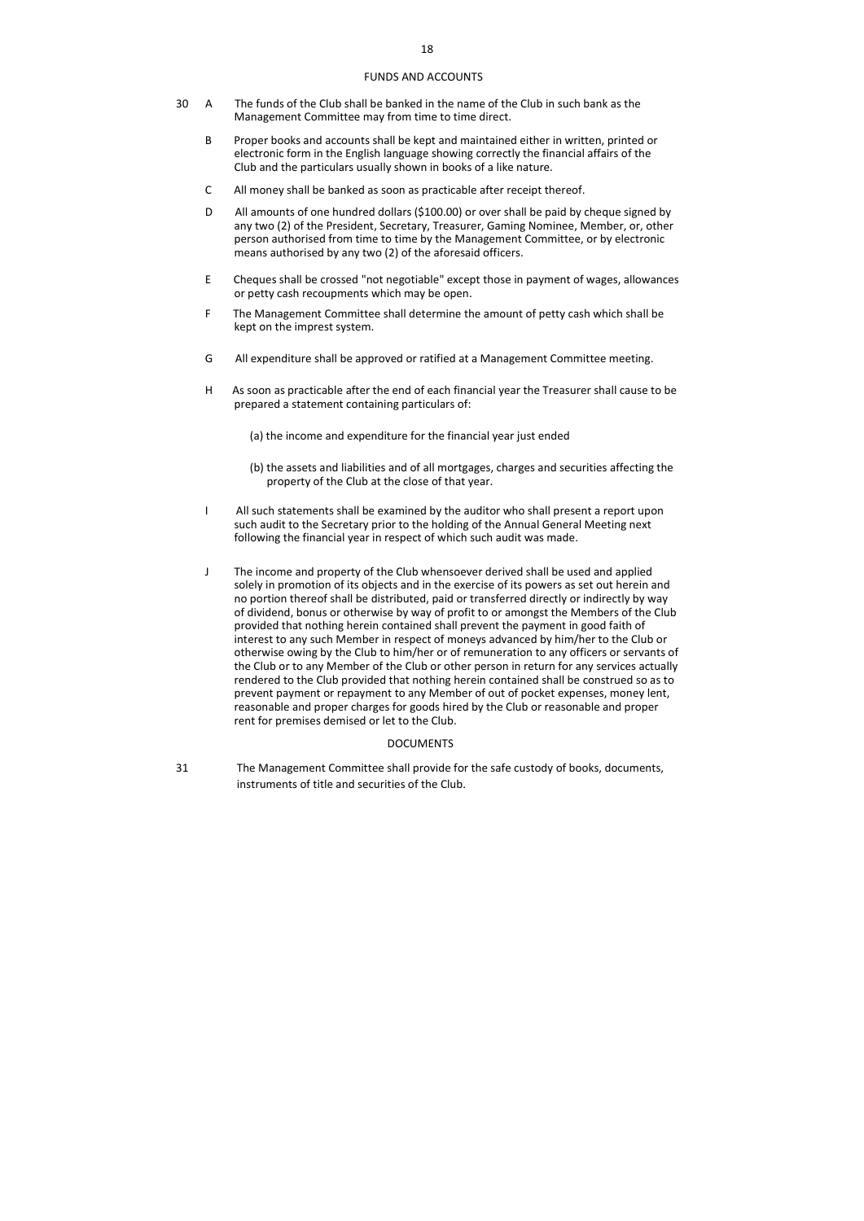#### FUNDS AND ACCOUNTS

- 30 A The funds of the Club shall be banked in the name of the Club in such bank as the Management Committee may from time to time direct.
	- B Proper books and accounts shall be kept and maintained either in written, printed or electronic form in the English language showing correctly the financial affairs of the Club and the particulars usually shown in books of a like nature.
	- C All money shall be banked as soon as practicable after receipt thereof.
	- D All amounts of one hundred dollars (\$100.00) or over shall be paid by cheque signed by any two (2) of the President, Secretary, Treasurer, Gaming Nominee, Member, or, other person authorised from time to time by the Management Committee, or by electronic means authorised by any two (2) of the aforesaid officers.
	- E Cheques shall be crossed "not negotiable" except those in payment of wages, allowances or petty cash recoupments which may be open.
	- F The Management Committee shall determine the amount of petty cash which shall be kept on the imprest system.
	- G All expenditure shall be approved or ratified at a Management Committee meeting.
	- H As soon as practicable after the end of each financial year the Treasurer shall cause to be prepared a statement containing particulars of:
		- (a) the income and expenditure for the financial year just ended
		- (b) the assets and liabilities and of all mortgages, charges and securities affecting the property of the Club at the close of that year.
	- I All such statements shall be examined by the auditor who shall present a report upon such audit to the Secretary prior to the holding of the Annual General Meeting next following the financial year in respect of which such audit was made.
	- J The income and property of the Club whensoever derived shall be used and applied solely in promotion of its objects and in the exercise of its powers as set out herein and no portion thereof shall be distributed, paid or transferred directly or indirectly by way of dividend, bonus or otherwise by way of profit to or amongst the Members of the Club provided that nothing herein contained shall prevent the payment in good faith of interest to any such Member in respect of moneys advanced by him/her to the Club or otherwise owing by the Club to him/her or of remuneration to any officers or servants of the Club or to any Member of the Club or other person in return for any services actually rendered to the Club provided that nothing herein contained shall be construed so as to prevent payment or repayment to any Member of out of pocket expenses, money lent, reasonable and proper charges for goods hired by the Club or reasonable and proper rent for premises demised or let to the Club.

#### DOCUMENTS

31 The Management Committee shall provide for the safe custody of books, documents, instruments of title and securities of the Club.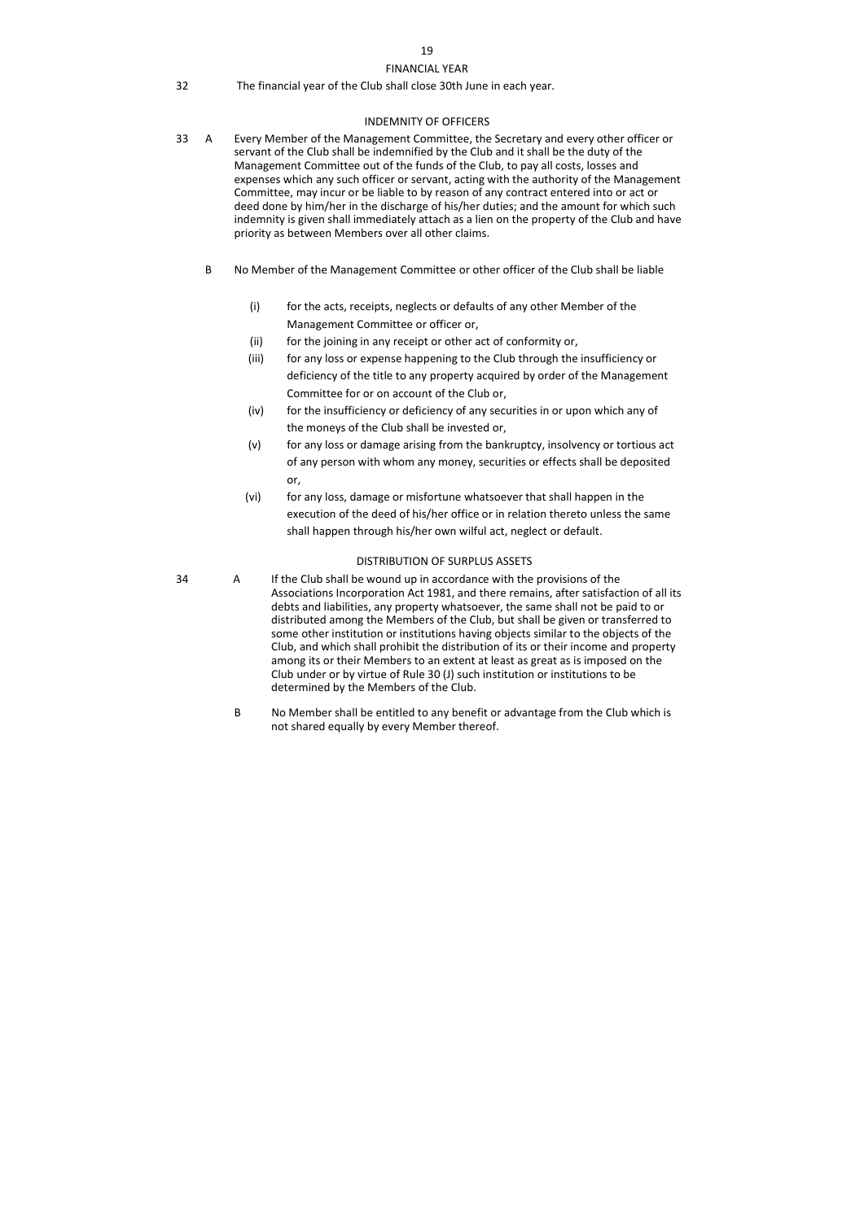# 19 FINANCIAL YEAR

32 The financial year of the Club shall close 30th June in each year.

## INDEMNITY OF OFFICERS

- 33 A Every Member of the Management Committee, the Secretary and every other officer or servant of the Club shall be indemnified by the Club and it shall be the duty of the Management Committee out of the funds of the Club, to pay all costs, losses and expenses which any such officer or servant, acting with the authority of the Management Committee, may incur or be liable to by reason of any contract entered into or act or deed done by him/her in the discharge of his/her duties; and the amount for which such indemnity is given shall immediately attach as a lien on the property of the Club and have priority as between Members over all other claims.
	- B No Member of the Management Committee or other officer of the Club shall be liable
		- (i) for the acts, receipts, neglects or defaults of any other Member of the Management Committee or officer or,
		- (ii) for the joining in any receipt or other act of conformity or,
		- (iii) for any loss or expense happening to the Club through the insufficiency or deficiency of the title to any property acquired by order of the Management Committee for or on account of the Club or,
		- (iv) for the insufficiency or deficiency of any securities in or upon which any of the moneys of the Club shall be invested or,
		- (v) for any loss or damage arising from the bankruptcy, insolvency or tortious act of any person with whom any money, securities or effects shall be deposited or,
		- (vi) for any loss, damage or misfortune whatsoever that shall happen in the execution of the deed of his/her office or in relation thereto unless the same shall happen through his/her own wilful act, neglect or default.

## DISTRIBUTION OF SURPLUS ASSETS

- 34 A If the Club shall be wound up in accordance with the provisions of the Associations Incorporation Act 1981, and there remains, after satisfaction of all its debts and liabilities, any property whatsoever, the same shall not be paid to or distributed among the Members of the Club, but shall be given or transferred to some other institution or institutions having objects similar to the objects of the Club, and which shall prohibit the distribution of its or their income and property among its or their Members to an extent at least as great as is imposed on the Club under or by virtue of Rule 30 (J) such institution or institutions to be determined by the Members of the Club.
	- B No Member shall be entitled to any benefit or advantage from the Club which is not shared equally by every Member thereof.